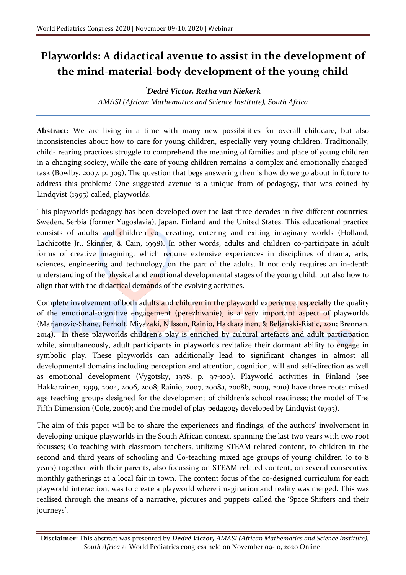## **Playworlds: A didactical avenue to assist in the development of the mind-material-body development of the young child**

## *\*Dedré Victor, Retha van Niekerk*

*AMASI (African Mathematics and Science Institute), South Africa*

**Abstract:** We are living in a time with many new possibilities for overall childcare, but also inconsistencies about how to care for young children, especially very young children. Traditionally, child- rearing practices struggle to comprehend the meaning of families and place of young children in a changing society, while the care of young children remains 'a complex and emotionally charged' task (Bowlby, 2007, p. 309). The question that begs answering then is how do we go about in future to address this problem? One suggested avenue is a unique from of pedagogy, that was coined by Lindqvist (1995) called, playworlds.

This playworlds pedagogy has been developed over the last three decades in five different countries: Sweden, Serbia (former Yugoslavia), Japan, Finland and the United States. This educational practice consists of adults and children co- creating, entering and exiting imaginary worlds (Holland, Lachicotte Jr., Skinner, & Cain, 1998). In other words, adults and children co-participate in adult forms of creative imagining, which require extensive experiences in disciplines of drama, arts, sciences, engineering and technology, on the part of the adults. It not only requires an in-depth understanding of the physical and emotional developmental stages of the young child, but also how to align that with the didactical demands of the evolving activities.

Complete involvement of both adults and children in the playworld experience, especially the quality of the emotional-cognitive engagement (perezhivanie), is a very important aspect of playworlds (Marjanovic-Shane, Ferholt, Miyazaki, Nilsson, Rainio, Hakkarainen, & Beljanski-Ristic, 2011; Brennan, 2014). In these playworlds children's play is enriched by cultural artefacts and adult participation while, simultaneously, adult participants in playworlds revitalize their dormant ability to engage in symbolic play. These playworlds can additionally lead to significant changes in almost all developmental domains including perception and attention, cognition, will and self-direction as well as emotional development (Vygotsky, 1978, p. 97-100). Playworld activities in Finland (see Hakkarainen, 1999, 2004, 2006, 2008; Rainio, 2007, 2008a, 2008b, 2009, 2010) have three roots: mixed age teaching groups designed for the development of children's school readiness; the model of The Fifth Dimension (Cole, 2006); and the model of play pedagogy developed by Lindqvist (1995).

The aim of this paper will be to share the experiences and findings, of the authors' involvement in developing unique playworlds in the South African context, spanning the last two years with two root focusses; Co-teaching with classroom teachers, utilizing STEAM related content, to children in the second and third years of schooling and Co-teaching mixed age groups of young children (0 to 8 years) together with their parents, also focussing on STEAM related content, on several consecutive monthly gatherings at a local fair in town. The content focus of the co-designed curriculum for each playworld interaction, was to create a playworld where imagination and reality was merged. This was realised through the means of a narrative, pictures and puppets called the 'Space Shifters and their journeys'.

**Disclaimer:** This abstract was presented by *Dedré Victor, AMASI (African Mathematics and Science Institute), South Africa* at World Pediatrics congress held on November 09-10, 2020 Online.